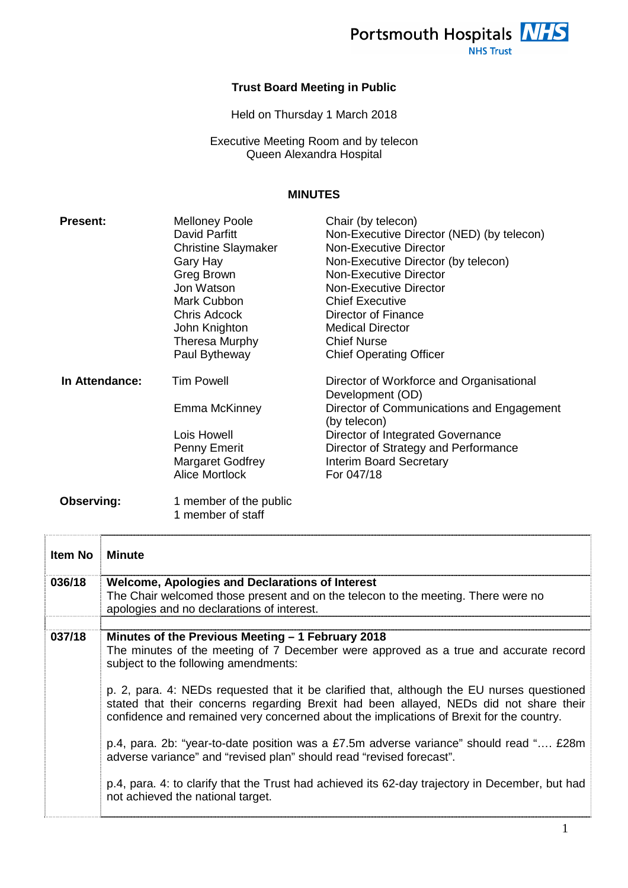

### **Trust Board Meeting in Public**

Held on Thursday 1 March 2018

Executive Meeting Room and by telecon Queen Alexandra Hospital

### **MINUTES**

| <b>Present:</b>   | <b>Melloney Poole</b>                       | Chair (by telecon)                                           |
|-------------------|---------------------------------------------|--------------------------------------------------------------|
|                   | David Parfitt                               | Non-Executive Director (NED) (by telecon)                    |
|                   | <b>Christine Slaymaker</b>                  | Non-Executive Director                                       |
|                   | Gary Hay                                    | Non-Executive Director (by telecon)                          |
|                   | Greg Brown                                  | Non-Executive Director                                       |
|                   | Jon Watson                                  | <b>Non-Executive Director</b>                                |
|                   | Mark Cubbon                                 | <b>Chief Executive</b>                                       |
|                   | <b>Chris Adcock</b>                         | Director of Finance                                          |
|                   | John Knighton                               | <b>Medical Director</b>                                      |
|                   | Theresa Murphy                              | <b>Chief Nurse</b>                                           |
|                   | Paul Bytheway                               | <b>Chief Operating Officer</b>                               |
| In Attendance:    | <b>Tim Powell</b>                           | Director of Workforce and Organisational<br>Development (OD) |
|                   | Emma McKinney                               | Director of Communications and Engagement<br>(by telecon)    |
|                   | Lois Howell                                 | Director of Integrated Governance                            |
|                   | Penny Emerit                                | Director of Strategy and Performance                         |
|                   | <b>Margaret Godfrey</b>                     | <b>Interim Board Secretary</b>                               |
|                   | <b>Alice Mortlock</b>                       | For 047/18                                                   |
| <b>Observing:</b> | 1 member of the public<br>1 member of staff |                                                              |

| <b>Item No. Minute</b> |                                                                                                                                                                                                                                                                                  |
|------------------------|----------------------------------------------------------------------------------------------------------------------------------------------------------------------------------------------------------------------------------------------------------------------------------|
| 036/18                 | <b>Welcome, Apologies and Declarations of Interest</b>                                                                                                                                                                                                                           |
|                        | The Chair welcomed those present and on the telecon to the meeting. There were no<br>apologies and no declarations of interest.                                                                                                                                                  |
|                        |                                                                                                                                                                                                                                                                                  |
| 037/18                 | Minutes of the Previous Meeting – 1 February 2018<br>The minutes of the meeting of 7 December were approved as a true and accurate record                                                                                                                                        |
|                        | subject to the following amendments:                                                                                                                                                                                                                                             |
|                        | p. 2, para. 4: NEDs requested that it be clarified that, although the EU nurses questioned<br>stated that their concerns regarding Brexit had been allayed, NEDs did not share their<br>confidence and remained very concerned about the implications of Brexit for the country. |
|                        | p.4, para. 2b: "year-to-date position was a £7.5m adverse variance" should read " £28m<br>adverse variance" and "revised plan" should read "revised forecast".                                                                                                                   |
|                        | p.4, para. 4: to clarify that the Trust had achieved its 62-day trajectory in December, but had<br>not achieved the national target.                                                                                                                                             |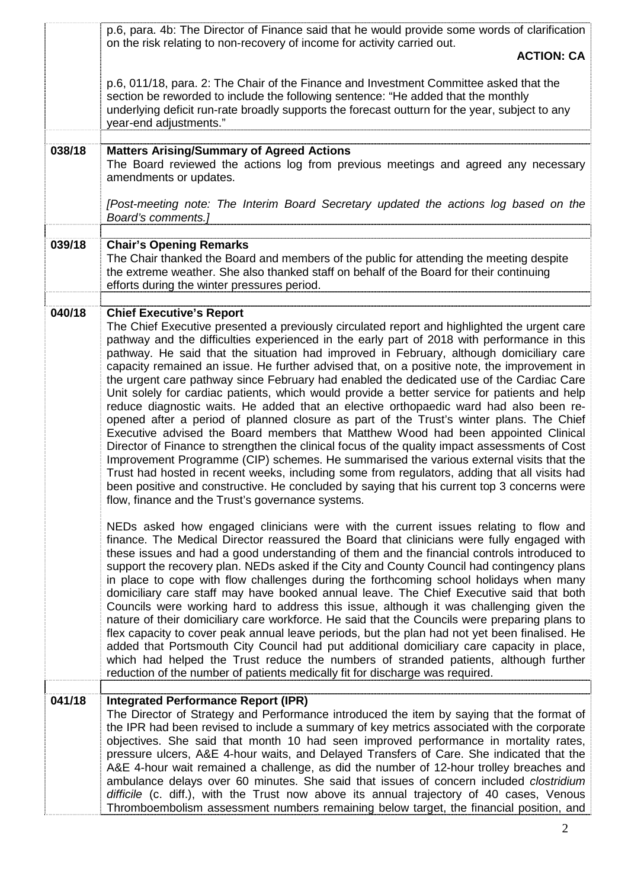|        | p.6, para. 4b: The Director of Finance said that he would provide some words of clarification<br>on the risk relating to non-recovery of income for activity carried out.<br><b>ACTION: CA</b>                                                                                                                                                                                                                                                                                                                                                                                                                                                                                                                                                                                                                                                                                                                                                                                                                                                                                                                                                                                                                                                                                                                                                 |
|--------|------------------------------------------------------------------------------------------------------------------------------------------------------------------------------------------------------------------------------------------------------------------------------------------------------------------------------------------------------------------------------------------------------------------------------------------------------------------------------------------------------------------------------------------------------------------------------------------------------------------------------------------------------------------------------------------------------------------------------------------------------------------------------------------------------------------------------------------------------------------------------------------------------------------------------------------------------------------------------------------------------------------------------------------------------------------------------------------------------------------------------------------------------------------------------------------------------------------------------------------------------------------------------------------------------------------------------------------------|
|        | p.6, 011/18, para. 2: The Chair of the Finance and Investment Committee asked that the<br>section be reworded to include the following sentence: "He added that the monthly<br>underlying deficit run-rate broadly supports the forecast outturn for the year, subject to any<br>year-end adjustments."                                                                                                                                                                                                                                                                                                                                                                                                                                                                                                                                                                                                                                                                                                                                                                                                                                                                                                                                                                                                                                        |
| 038/18 | <b>Matters Arising/Summary of Agreed Actions</b><br>The Board reviewed the actions log from previous meetings and agreed any necessary<br>amendments or updates.                                                                                                                                                                                                                                                                                                                                                                                                                                                                                                                                                                                                                                                                                                                                                                                                                                                                                                                                                                                                                                                                                                                                                                               |
|        | [Post-meeting note: The Interim Board Secretary updated the actions log based on the<br>Board's comments.]                                                                                                                                                                                                                                                                                                                                                                                                                                                                                                                                                                                                                                                                                                                                                                                                                                                                                                                                                                                                                                                                                                                                                                                                                                     |
|        |                                                                                                                                                                                                                                                                                                                                                                                                                                                                                                                                                                                                                                                                                                                                                                                                                                                                                                                                                                                                                                                                                                                                                                                                                                                                                                                                                |
| 039/18 | <b>Chair's Opening Remarks</b><br>The Chair thanked the Board and members of the public for attending the meeting despite<br>the extreme weather. She also thanked staff on behalf of the Board for their continuing<br>efforts during the winter pressures period.                                                                                                                                                                                                                                                                                                                                                                                                                                                                                                                                                                                                                                                                                                                                                                                                                                                                                                                                                                                                                                                                            |
|        |                                                                                                                                                                                                                                                                                                                                                                                                                                                                                                                                                                                                                                                                                                                                                                                                                                                                                                                                                                                                                                                                                                                                                                                                                                                                                                                                                |
| 040/18 | <b>Chief Executive's Report</b><br>The Chief Executive presented a previously circulated report and highlighted the urgent care<br>pathway and the difficulties experienced in the early part of 2018 with performance in this<br>pathway. He said that the situation had improved in February, although domiciliary care<br>capacity remained an issue. He further advised that, on a positive note, the improvement in<br>the urgent care pathway since February had enabled the dedicated use of the Cardiac Care<br>Unit solely for cardiac patients, which would provide a better service for patients and help<br>reduce diagnostic waits. He added that an elective orthopaedic ward had also been re-<br>opened after a period of planned closure as part of the Trust's winter plans. The Chief<br>Executive advised the Board members that Matthew Wood had been appointed Clinical<br>Director of Finance to strengthen the clinical focus of the quality impact assessments of Cost<br>Improvement Programme (CIP) schemes. He summarised the various external visits that the<br>Trust had hosted in recent weeks, including some from regulators, adding that all visits had<br>been positive and constructive. He concluded by saying that his current top 3 concerns were<br>flow, finance and the Trust's governance systems. |
|        | NEDs asked how engaged clinicians were with the current issues relating to flow and<br>finance. The Medical Director reassured the Board that clinicians were fully engaged with<br>these issues and had a good understanding of them and the financial controls introduced to<br>support the recovery plan. NEDs asked if the City and County Council had contingency plans<br>in place to cope with flow challenges during the forthcoming school holidays when many<br>domiciliary care staff may have booked annual leave. The Chief Executive said that both<br>Councils were working hard to address this issue, although it was challenging given the<br>nature of their domiciliary care workforce. He said that the Councils were preparing plans to<br>flex capacity to cover peak annual leave periods, but the plan had not yet been finalised. He<br>added that Portsmouth City Council had put additional domiciliary care capacity in place,<br>which had helped the Trust reduce the numbers of stranded patients, although further<br>reduction of the number of patients medically fit for discharge was required.                                                                                                                                                                                                           |
| 041/18 | <b>Integrated Performance Report (IPR)</b><br>The Director of Strategy and Performance introduced the item by saying that the format of<br>the IPR had been revised to include a summary of key metrics associated with the corporate<br>objectives. She said that month 10 had seen improved performance in mortality rates,<br>pressure ulcers, A&E 4-hour waits, and Delayed Transfers of Care. She indicated that the<br>A&E 4-hour wait remained a challenge, as did the number of 12-hour trolley breaches and<br>ambulance delays over 60 minutes. She said that issues of concern included <i>clostridium</i><br>difficile (c. diff.), with the Trust now above its annual trajectory of 40 cases, Venous<br>Thromboembolism assessment numbers remaining below target, the financial position, and                                                                                                                                                                                                                                                                                                                                                                                                                                                                                                                                    |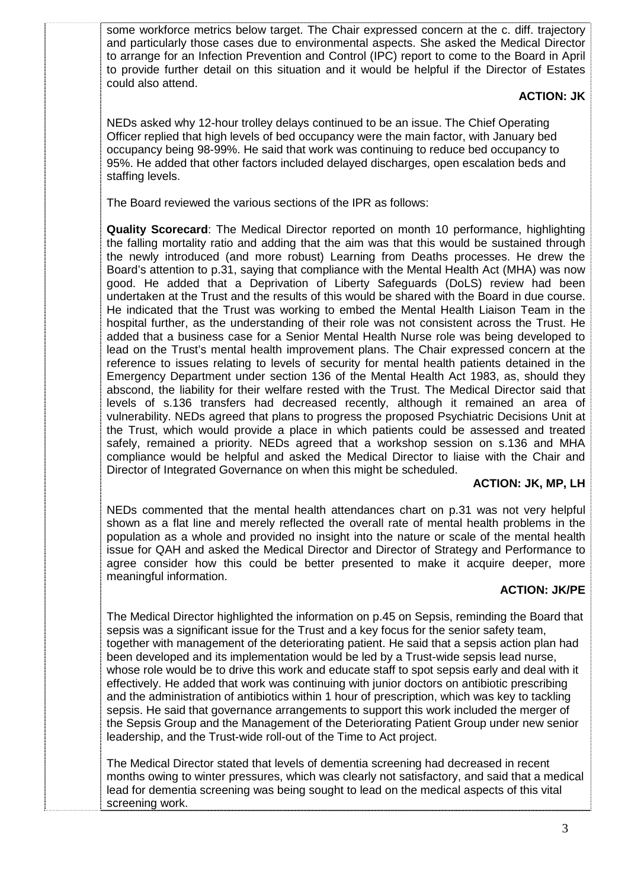some workforce metrics below target. The Chair expressed concern at the c. diff. trajectory and particularly those cases due to environmental aspects. She asked the Medical Director to arrange for an Infection Prevention and Control (IPC) report to come to the Board in April to provide further detail on this situation and it would be helpful if the Director of Estates could also attend.

### **ACTION: JK**

NEDs asked why 12-hour trolley delays continued to be an issue. The Chief Operating Officer replied that high levels of bed occupancy were the main factor, with January bed occupancy being 98-99%. He said that work was continuing to reduce bed occupancy to 95%. He added that other factors included delayed discharges, open escalation beds and staffing levels.

The Board reviewed the various sections of the IPR as follows:

**Quality Scorecard**: The Medical Director reported on month 10 performance, highlighting the falling mortality ratio and adding that the aim was that this would be sustained through the newly introduced (and more robust) Learning from Deaths processes. He drew the Board's attention to p.31, saying that compliance with the Mental Health Act (MHA) was now good. He added that a Deprivation of Liberty Safeguards (DoLS) review had been undertaken at the Trust and the results of this would be shared with the Board in due course. He indicated that the Trust was working to embed the Mental Health Liaison Team in the hospital further, as the understanding of their role was not consistent across the Trust. He added that a business case for a Senior Mental Health Nurse role was being developed to lead on the Trust's mental health improvement plans. The Chair expressed concern at the reference to issues relating to levels of security for mental health patients detained in the Emergency Department under section 136 of the Mental Health Act 1983, as, should they abscond, the liability for their welfare rested with the Trust. The Medical Director said that levels of s.136 transfers had decreased recently, although it remained an area of vulnerability. NEDs agreed that plans to progress the proposed Psychiatric Decisions Unit at the Trust, which would provide a place in which patients could be assessed and treated safely, remained a priority. NEDs agreed that a workshop session on s.136 and MHA compliance would be helpful and asked the Medical Director to liaise with the Chair and Director of Integrated Governance on when this might be scheduled.

# **ACTION: JK, MP, LH**

NEDs commented that the mental health attendances chart on p.31 was not very helpful shown as a flat line and merely reflected the overall rate of mental health problems in the population as a whole and provided no insight into the nature or scale of the mental health issue for QAH and asked the Medical Director and Director of Strategy and Performance to agree consider how this could be better presented to make it acquire deeper, more meaningful information.

# **ACTION: JK/PE**

The Medical Director highlighted the information on p.45 on Sepsis, reminding the Board that sepsis was a significant issue for the Trust and a key focus for the senior safety team, together with management of the deteriorating patient. He said that a sepsis action plan had been developed and its implementation would be led by a Trust-wide sepsis lead nurse, whose role would be to drive this work and educate staff to spot sepsis early and deal with it effectively. He added that work was continuing with junior doctors on antibiotic prescribing and the administration of antibiotics within 1 hour of prescription, which was key to tackling sepsis. He said that governance arrangements to support this work included the merger of the Sepsis Group and the Management of the Deteriorating Patient Group under new senior leadership, and the Trust-wide roll-out of the Time to Act project.

The Medical Director stated that levels of dementia screening had decreased in recent months owing to winter pressures, which was clearly not satisfactory, and said that a medical lead for dementia screening was being sought to lead on the medical aspects of this vital screening work.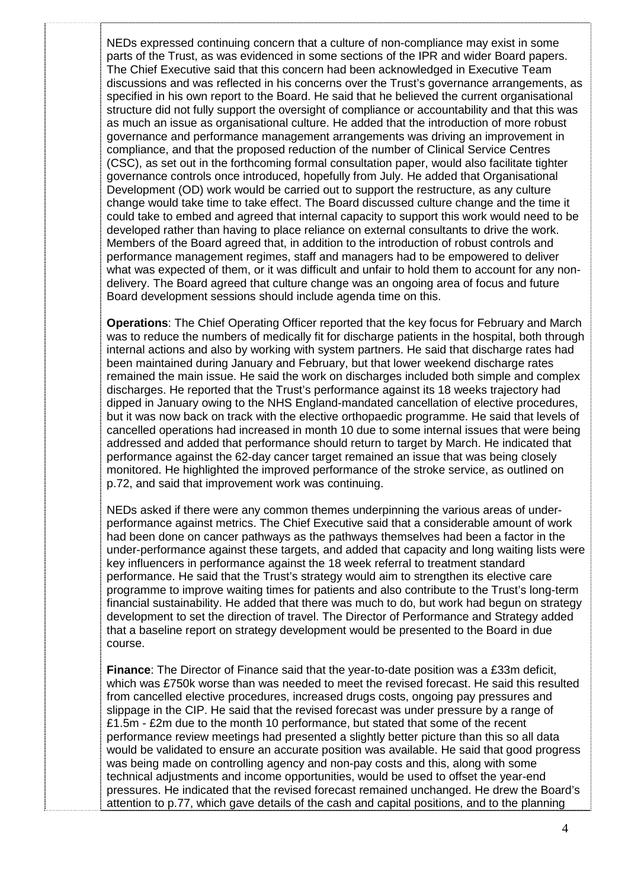NEDs expressed continuing concern that a culture of non-compliance may exist in some parts of the Trust, as was evidenced in some sections of the IPR and wider Board papers. The Chief Executive said that this concern had been acknowledged in Executive Team discussions and was reflected in his concerns over the Trust's governance arrangements, as specified in his own report to the Board. He said that he believed the current organisational structure did not fully support the oversight of compliance or accountability and that this was as much an issue as organisational culture. He added that the introduction of more robust governance and performance management arrangements was driving an improvement in compliance, and that the proposed reduction of the number of Clinical Service Centres (CSC), as set out in the forthcoming formal consultation paper, would also facilitate tighter governance controls once introduced, hopefully from July. He added that Organisational Development (OD) work would be carried out to support the restructure, as any culture change would take time to take effect. The Board discussed culture change and the time it could take to embed and agreed that internal capacity to support this work would need to be developed rather than having to place reliance on external consultants to drive the work. Members of the Board agreed that, in addition to the introduction of robust controls and performance management regimes, staff and managers had to be empowered to deliver what was expected of them, or it was difficult and unfair to hold them to account for any nondelivery. The Board agreed that culture change was an ongoing area of focus and future Board development sessions should include agenda time on this.

**Operations**: The Chief Operating Officer reported that the key focus for February and March was to reduce the numbers of medically fit for discharge patients in the hospital, both through internal actions and also by working with system partners. He said that discharge rates had been maintained during January and February, but that lower weekend discharge rates remained the main issue. He said the work on discharges included both simple and complex discharges. He reported that the Trust's performance against its 18 weeks trajectory had dipped in January owing to the NHS England-mandated cancellation of elective procedures, but it was now back on track with the elective orthopaedic programme. He said that levels of cancelled operations had increased in month 10 due to some internal issues that were being addressed and added that performance should return to target by March. He indicated that performance against the 62-day cancer target remained an issue that was being closely monitored. He highlighted the improved performance of the stroke service, as outlined on p.72, and said that improvement work was continuing.

NEDs asked if there were any common themes underpinning the various areas of underperformance against metrics. The Chief Executive said that a considerable amount of work had been done on cancer pathways as the pathways themselves had been a factor in the under-performance against these targets, and added that capacity and long waiting lists were key influencers in performance against the 18 week referral to treatment standard performance. He said that the Trust's strategy would aim to strengthen its elective care programme to improve waiting times for patients and also contribute to the Trust's long-term financial sustainability. He added that there was much to do, but work had begun on strategy development to set the direction of travel. The Director of Performance and Strategy added that a baseline report on strategy development would be presented to the Board in due course.

**Finance**: The Director of Finance said that the year-to-date position was a £33m deficit, which was £750k worse than was needed to meet the revised forecast. He said this resulted from cancelled elective procedures, increased drugs costs, ongoing pay pressures and slippage in the CIP. He said that the revised forecast was under pressure by a range of £1.5m - £2m due to the month 10 performance, but stated that some of the recent performance review meetings had presented a slightly better picture than this so all data would be validated to ensure an accurate position was available. He said that good progress was being made on controlling agency and non-pay costs and this, along with some technical adjustments and income opportunities, would be used to offset the year-end pressures. He indicated that the revised forecast remained unchanged. He drew the Board's attention to p.77, which gave details of the cash and capital positions, and to the planning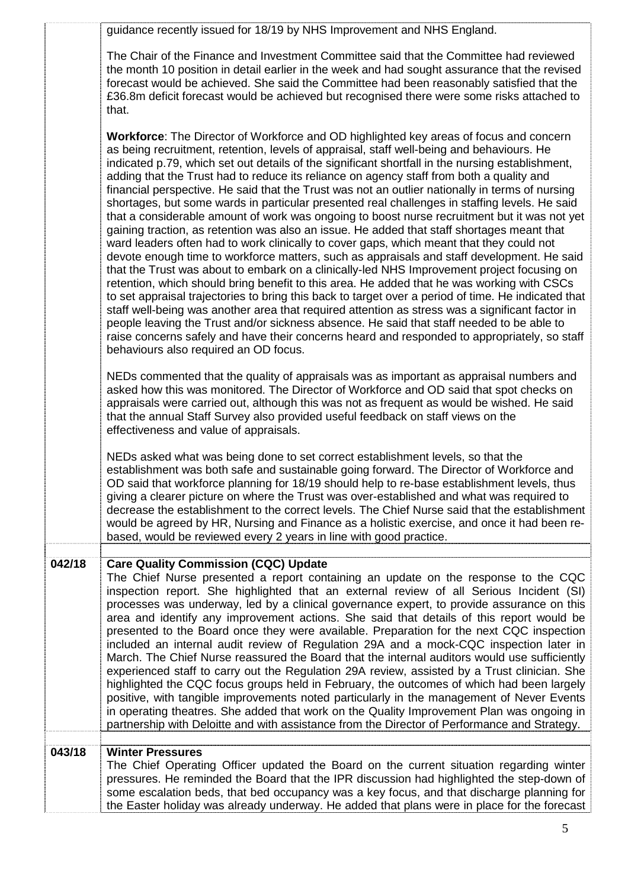|        | guidance recently issued for 18/19 by NHS Improvement and NHS England.                                                                                                                                                                                                                                                                                                                                                                                                                                                                                                                                                                                                                                                                                                                                                                                                                                                                                                                                                                                                                                                                                                                                                                                                                                                                                                                                                                                                                                                                                                                                                             |
|--------|------------------------------------------------------------------------------------------------------------------------------------------------------------------------------------------------------------------------------------------------------------------------------------------------------------------------------------------------------------------------------------------------------------------------------------------------------------------------------------------------------------------------------------------------------------------------------------------------------------------------------------------------------------------------------------------------------------------------------------------------------------------------------------------------------------------------------------------------------------------------------------------------------------------------------------------------------------------------------------------------------------------------------------------------------------------------------------------------------------------------------------------------------------------------------------------------------------------------------------------------------------------------------------------------------------------------------------------------------------------------------------------------------------------------------------------------------------------------------------------------------------------------------------------------------------------------------------------------------------------------------------|
|        | The Chair of the Finance and Investment Committee said that the Committee had reviewed<br>the month 10 position in detail earlier in the week and had sought assurance that the revised<br>forecast would be achieved. She said the Committee had been reasonably satisfied that the<br>£36.8m deficit forecast would be achieved but recognised there were some risks attached to<br>that.                                                                                                                                                                                                                                                                                                                                                                                                                                                                                                                                                                                                                                                                                                                                                                                                                                                                                                                                                                                                                                                                                                                                                                                                                                        |
|        | <b>Workforce:</b> The Director of Workforce and OD highlighted key areas of focus and concern<br>as being recruitment, retention, levels of appraisal, staff well-being and behaviours. He<br>indicated p.79, which set out details of the significant shortfall in the nursing establishment,<br>adding that the Trust had to reduce its reliance on agency staff from both a quality and<br>financial perspective. He said that the Trust was not an outlier nationally in terms of nursing<br>shortages, but some wards in particular presented real challenges in staffing levels. He said<br>that a considerable amount of work was ongoing to boost nurse recruitment but it was not yet<br>gaining traction, as retention was also an issue. He added that staff shortages meant that<br>ward leaders often had to work clinically to cover gaps, which meant that they could not<br>devote enough time to workforce matters, such as appraisals and staff development. He said<br>that the Trust was about to embark on a clinically-led NHS Improvement project focusing on<br>retention, which should bring benefit to this area. He added that he was working with CSCs<br>to set appraisal trajectories to bring this back to target over a period of time. He indicated that<br>staff well-being was another area that required attention as stress was a significant factor in<br>people leaving the Trust and/or sickness absence. He said that staff needed to be able to<br>raise concerns safely and have their concerns heard and responded to appropriately, so staff<br>behaviours also required an OD focus. |
|        | NEDs commented that the quality of appraisals was as important as appraisal numbers and<br>asked how this was monitored. The Director of Workforce and OD said that spot checks on<br>appraisals were carried out, although this was not as frequent as would be wished. He said<br>that the annual Staff Survey also provided useful feedback on staff views on the<br>effectiveness and value of appraisals.                                                                                                                                                                                                                                                                                                                                                                                                                                                                                                                                                                                                                                                                                                                                                                                                                                                                                                                                                                                                                                                                                                                                                                                                                     |
|        | NEDs asked what was being done to set correct establishment levels, so that the<br>establishment was both safe and sustainable going forward. The Director of Workforce and<br>OD said that workforce planning for 18/19 should help to re-base establishment levels, thus<br>giving a clearer picture on where the Trust was over-established and what was required to<br>decrease the establishment to the correct levels. The Chief Nurse said that the establishment<br>would be agreed by HR, Nursing and Finance as a holistic exercise, and once it had been re-<br>based, would be reviewed every 2 years in line with good practice.                                                                                                                                                                                                                                                                                                                                                                                                                                                                                                                                                                                                                                                                                                                                                                                                                                                                                                                                                                                      |
| 042/18 | <b>Care Quality Commission (CQC) Update</b><br>The Chief Nurse presented a report containing an update on the response to the CQC<br>inspection report. She highlighted that an external review of all Serious Incident (SI)<br>processes was underway, led by a clinical governance expert, to provide assurance on this<br>area and identify any improvement actions. She said that details of this report would be<br>presented to the Board once they were available. Preparation for the next CQC inspection<br>included an internal audit review of Regulation 29A and a mock-CQC inspection later in<br>March. The Chief Nurse reassured the Board that the internal auditors would use sufficiently<br>experienced staff to carry out the Regulation 29A review, assisted by a Trust clinician. She<br>highlighted the CQC focus groups held in February, the outcomes of which had been largely<br>positive, with tangible improvements noted particularly in the management of Never Events<br>in operating theatres. She added that work on the Quality Improvement Plan was ongoing in<br>partnership with Deloitte and with assistance from the Director of Performance and Strategy.                                                                                                                                                                                                                                                                                                                                                                                                                                 |
| 043/18 | <b>Winter Pressures</b><br>The Chief Operating Officer updated the Board on the current situation regarding winter<br>pressures. He reminded the Board that the IPR discussion had highlighted the step-down of<br>some escalation beds, that bed occupancy was a key focus, and that discharge planning for<br>the Easter holiday was already underway. He added that plans were in place for the forecast                                                                                                                                                                                                                                                                                                                                                                                                                                                                                                                                                                                                                                                                                                                                                                                                                                                                                                                                                                                                                                                                                                                                                                                                                        |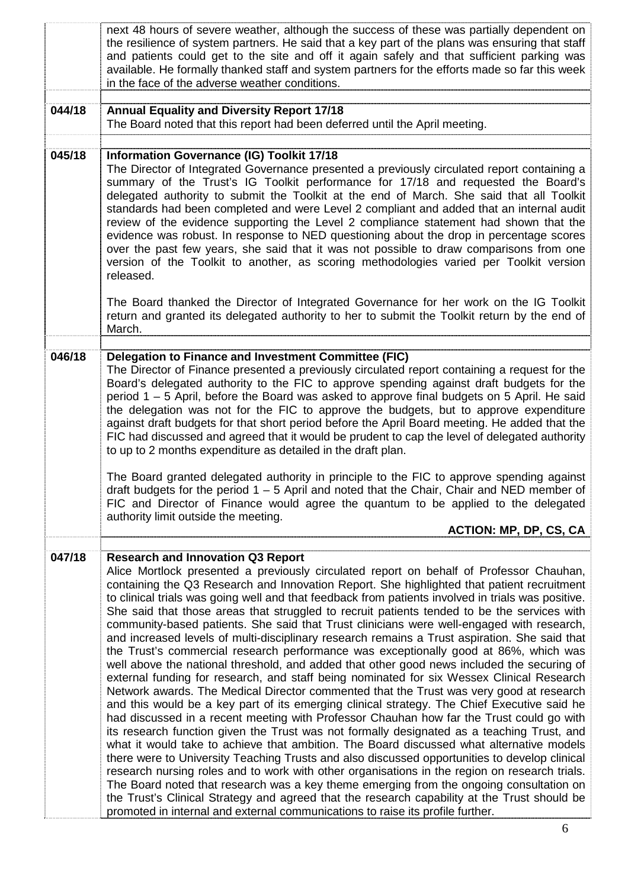|        | next 48 hours of severe weather, although the success of these was partially dependent on<br>the resilience of system partners. He said that a key part of the plans was ensuring that staff<br>and patients could get to the site and off it again safely and that sufficient parking was<br>available. He formally thanked staff and system partners for the efforts made so far this week<br>in the face of the adverse weather conditions.                                                                                                                                                                                                                                                                                                                                                                                                                                                                                                                                                                                                                                                                                                                                                                                                                                                                                                                                                                                                                                                                                                                                                                                                                                                                                                                                                                                                                                         |
|--------|----------------------------------------------------------------------------------------------------------------------------------------------------------------------------------------------------------------------------------------------------------------------------------------------------------------------------------------------------------------------------------------------------------------------------------------------------------------------------------------------------------------------------------------------------------------------------------------------------------------------------------------------------------------------------------------------------------------------------------------------------------------------------------------------------------------------------------------------------------------------------------------------------------------------------------------------------------------------------------------------------------------------------------------------------------------------------------------------------------------------------------------------------------------------------------------------------------------------------------------------------------------------------------------------------------------------------------------------------------------------------------------------------------------------------------------------------------------------------------------------------------------------------------------------------------------------------------------------------------------------------------------------------------------------------------------------------------------------------------------------------------------------------------------------------------------------------------------------------------------------------------------|
| 044/18 | <b>Annual Equality and Diversity Report 17/18</b><br>The Board noted that this report had been deferred until the April meeting.                                                                                                                                                                                                                                                                                                                                                                                                                                                                                                                                                                                                                                                                                                                                                                                                                                                                                                                                                                                                                                                                                                                                                                                                                                                                                                                                                                                                                                                                                                                                                                                                                                                                                                                                                       |
| 045/18 | <b>Information Governance (IG) Toolkit 17/18</b><br>The Director of Integrated Governance presented a previously circulated report containing a<br>summary of the Trust's IG Toolkit performance for 17/18 and requested the Board's<br>delegated authority to submit the Toolkit at the end of March. She said that all Toolkit<br>standards had been completed and were Level 2 compliant and added that an internal audit<br>review of the evidence supporting the Level 2 compliance statement had shown that the<br>evidence was robust. In response to NED questioning about the drop in percentage scores<br>over the past few years, she said that it was not possible to draw comparisons from one<br>version of the Toolkit to another, as scoring methodologies varied per Toolkit version<br>released.                                                                                                                                                                                                                                                                                                                                                                                                                                                                                                                                                                                                                                                                                                                                                                                                                                                                                                                                                                                                                                                                     |
|        | The Board thanked the Director of Integrated Governance for her work on the IG Toolkit<br>return and granted its delegated authority to her to submit the Toolkit return by the end of<br>March.                                                                                                                                                                                                                                                                                                                                                                                                                                                                                                                                                                                                                                                                                                                                                                                                                                                                                                                                                                                                                                                                                                                                                                                                                                                                                                                                                                                                                                                                                                                                                                                                                                                                                       |
| 046/18 | Delegation to Finance and Investment Committee (FIC)<br>The Director of Finance presented a previously circulated report containing a request for the<br>Board's delegated authority to the FIC to approve spending against draft budgets for the<br>period 1 – 5 April, before the Board was asked to approve final budgets on 5 April. He said<br>the delegation was not for the FIC to approve the budgets, but to approve expenditure<br>against draft budgets for that short period before the April Board meeting. He added that the<br>FIC had discussed and agreed that it would be prudent to cap the level of delegated authority<br>to up to 2 months expenditure as detailed in the draft plan.<br>The Board granted delegated authority in principle to the FIC to approve spending against<br>draft budgets for the period 1 – 5 April and noted that the Chair, Chair and NED member of<br>FIC and Director of Finance would agree the quantum to be applied to the delegated<br>authority limit outside the meeting.                                                                                                                                                                                                                                                                                                                                                                                                                                                                                                                                                                                                                                                                                                                                                                                                                                                   |
|        | <b>ACTION: MP, DP, CS, CA</b>                                                                                                                                                                                                                                                                                                                                                                                                                                                                                                                                                                                                                                                                                                                                                                                                                                                                                                                                                                                                                                                                                                                                                                                                                                                                                                                                                                                                                                                                                                                                                                                                                                                                                                                                                                                                                                                          |
| 047/18 | <b>Research and Innovation Q3 Report</b><br>Alice Mortlock presented a previously circulated report on behalf of Professor Chauhan,<br>containing the Q3 Research and Innovation Report. She highlighted that patient recruitment<br>to clinical trials was going well and that feedback from patients involved in trials was positive.<br>She said that those areas that struggled to recruit patients tended to be the services with<br>community-based patients. She said that Trust clinicians were well-engaged with research,<br>and increased levels of multi-disciplinary research remains a Trust aspiration. She said that<br>the Trust's commercial research performance was exceptionally good at 86%, which was<br>well above the national threshold, and added that other good news included the securing of<br>external funding for research, and staff being nominated for six Wessex Clinical Research<br>Network awards. The Medical Director commented that the Trust was very good at research<br>and this would be a key part of its emerging clinical strategy. The Chief Executive said he<br>had discussed in a recent meeting with Professor Chauhan how far the Trust could go with<br>its research function given the Trust was not formally designated as a teaching Trust, and<br>what it would take to achieve that ambition. The Board discussed what alternative models<br>there were to University Teaching Trusts and also discussed opportunities to develop clinical<br>research nursing roles and to work with other organisations in the region on research trials.<br>The Board noted that research was a key theme emerging from the ongoing consultation on<br>the Trust's Clinical Strategy and agreed that the research capability at the Trust should be<br>promoted in internal and external communications to raise its profile further. |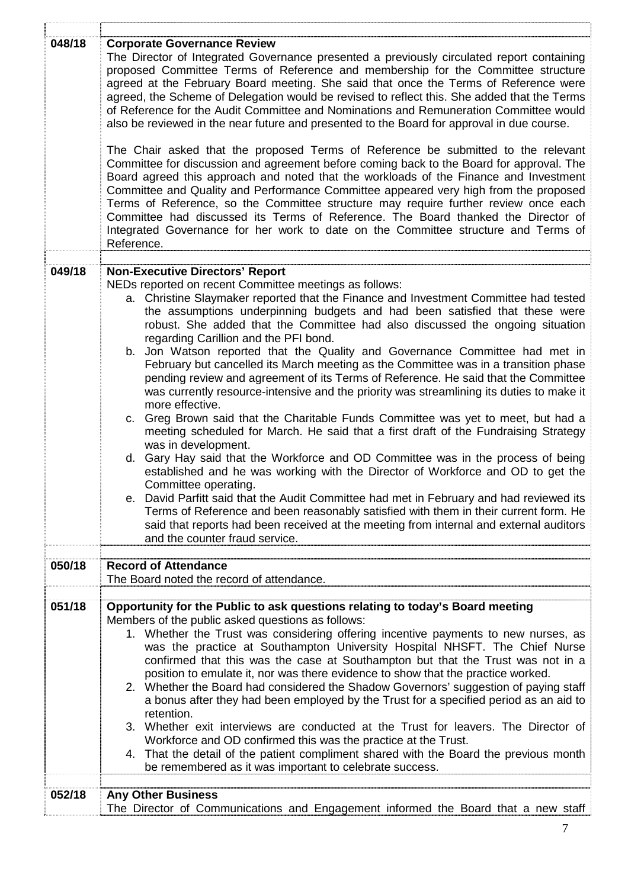| 048/18 | <b>Corporate Governance Review</b><br>The Director of Integrated Governance presented a previously circulated report containing<br>proposed Committee Terms of Reference and membership for the Committee structure<br>agreed at the February Board meeting. She said that once the Terms of Reference were<br>agreed, the Scheme of Delegation would be revised to reflect this. She added that the Terms<br>of Reference for the Audit Committee and Nominations and Remuneration Committee would<br>also be reviewed in the near future and presented to the Board for approval in due course.<br>The Chair asked that the proposed Terms of Reference be submitted to the relevant<br>Committee for discussion and agreement before coming back to the Board for approval. The<br>Board agreed this approach and noted that the workloads of the Finance and Investment<br>Committee and Quality and Performance Committee appeared very high from the proposed<br>Terms of Reference, so the Committee structure may require further review once each<br>Committee had discussed its Terms of Reference. The Board thanked the Director of<br>Integrated Governance for her work to date on the Committee structure and Terms of<br>Reference.                                                                                                                                                                                                                                           |
|--------|-----------------------------------------------------------------------------------------------------------------------------------------------------------------------------------------------------------------------------------------------------------------------------------------------------------------------------------------------------------------------------------------------------------------------------------------------------------------------------------------------------------------------------------------------------------------------------------------------------------------------------------------------------------------------------------------------------------------------------------------------------------------------------------------------------------------------------------------------------------------------------------------------------------------------------------------------------------------------------------------------------------------------------------------------------------------------------------------------------------------------------------------------------------------------------------------------------------------------------------------------------------------------------------------------------------------------------------------------------------------------------------------------------------------------------------------------------------------------------------------------|
|        |                                                                                                                                                                                                                                                                                                                                                                                                                                                                                                                                                                                                                                                                                                                                                                                                                                                                                                                                                                                                                                                                                                                                                                                                                                                                                                                                                                                                                                                                                               |
| 049/18 | <b>Non-Executive Directors' Report</b><br>NEDs reported on recent Committee meetings as follows:<br>a. Christine Slaymaker reported that the Finance and Investment Committee had tested<br>the assumptions underpinning budgets and had been satisfied that these were<br>robust. She added that the Committee had also discussed the ongoing situation<br>regarding Carillion and the PFI bond.<br>b. Jon Watson reported that the Quality and Governance Committee had met in<br>February but cancelled its March meeting as the Committee was in a transition phase<br>pending review and agreement of its Terms of Reference. He said that the Committee<br>was currently resource-intensive and the priority was streamlining its duties to make it<br>more effective.<br>c. Greg Brown said that the Charitable Funds Committee was yet to meet, but had a<br>meeting scheduled for March. He said that a first draft of the Fundraising Strategy<br>was in development.<br>d. Gary Hay said that the Workforce and OD Committee was in the process of being<br>established and he was working with the Director of Workforce and OD to get the<br>Committee operating.<br>e. David Parfitt said that the Audit Committee had met in February and had reviewed its<br>Terms of Reference and been reasonably satisfied with them in their current form. He<br>said that reports had been received at the meeting from internal and external auditors<br>and the counter fraud service. |
|        |                                                                                                                                                                                                                                                                                                                                                                                                                                                                                                                                                                                                                                                                                                                                                                                                                                                                                                                                                                                                                                                                                                                                                                                                                                                                                                                                                                                                                                                                                               |
| 050/18 | <b>Record of Attendance</b><br>The Board noted the record of attendance.                                                                                                                                                                                                                                                                                                                                                                                                                                                                                                                                                                                                                                                                                                                                                                                                                                                                                                                                                                                                                                                                                                                                                                                                                                                                                                                                                                                                                      |
| 051/18 | Opportunity for the Public to ask questions relating to today's Board meeting<br>Members of the public asked questions as follows:<br>1. Whether the Trust was considering offering incentive payments to new nurses, as<br>was the practice at Southampton University Hospital NHSFT. The Chief Nurse<br>confirmed that this was the case at Southampton but that the Trust was not in a<br>position to emulate it, nor was there evidence to show that the practice worked.<br>2. Whether the Board had considered the Shadow Governors' suggestion of paying staff<br>a bonus after they had been employed by the Trust for a specified period as an aid to<br>retention.<br>3. Whether exit interviews are conducted at the Trust for leavers. The Director of<br>Workforce and OD confirmed this was the practice at the Trust.<br>That the detail of the patient compliment shared with the Board the previous month<br>4.<br>be remembered as it was important to celebrate success.                                                                                                                                                                                                                                                                                                                                                                                                                                                                                                   |
|        |                                                                                                                                                                                                                                                                                                                                                                                                                                                                                                                                                                                                                                                                                                                                                                                                                                                                                                                                                                                                                                                                                                                                                                                                                                                                                                                                                                                                                                                                                               |
| 052/18 | <b>Any Other Business</b><br>The Director of Communications and Engagement informed the Board that a new staff                                                                                                                                                                                                                                                                                                                                                                                                                                                                                                                                                                                                                                                                                                                                                                                                                                                                                                                                                                                                                                                                                                                                                                                                                                                                                                                                                                                |